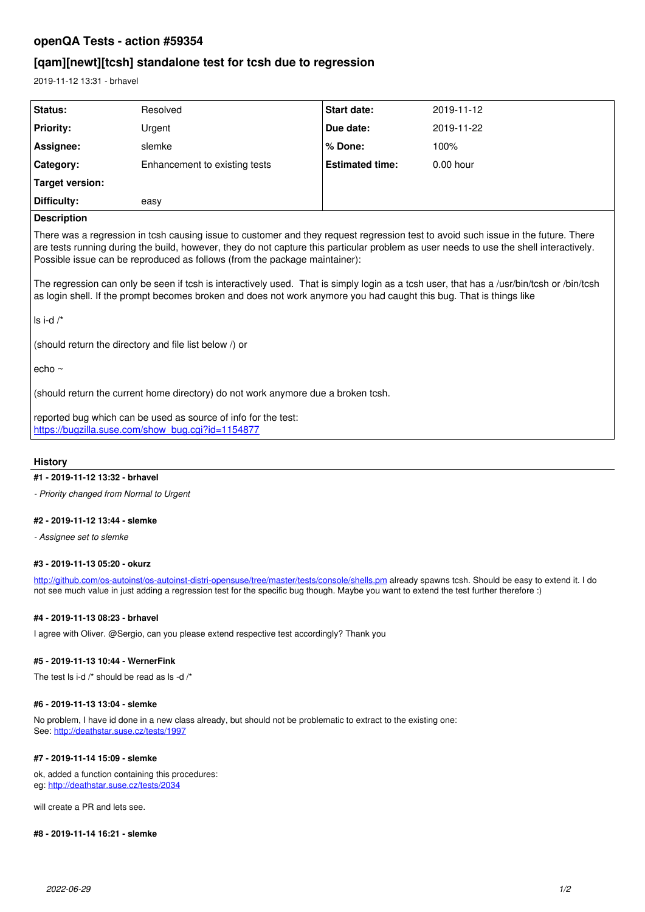# **openQA Tests - action #59354**

# **[qam][newt][tcsh] standalone test for tcsh due to regression**

2019-11-12 13:31 - brhavel

| Status:            | Resolved                      | <b>Start date:</b>     | 2019-11-12  |
|--------------------|-------------------------------|------------------------|-------------|
| <b>Priority:</b>   | Urgent                        | Due date:              | 2019-11-22  |
| Assignee:          | slemke                        | % Done:                | 100%        |
| Category:          | Enhancement to existing tests | <b>Estimated time:</b> | $0.00$ hour |
| Target version:    |                               |                        |             |
| Difficulty:        | easy                          |                        |             |
| <b>Description</b> |                               |                        |             |

## **Description**

There was a regression in tcsh causing issue to customer and they request regression test to avoid such issue in the future. There are tests running during the build, however, they do not capture this particular problem as user needs to use the shell interactively. Possible issue can be reproduced as follows (from the package maintainer):

The regression can only be seen if tcsh is interactively used. That is simply login as a tcsh user, that has a /usr/bin/tcsh or /bin/tcsh as login shell. If the prompt becomes broken and does not work anymore you had caught this bug. That is things like

ls i-d /\*

(should return the directory and file list below /) or

echo ~

(should return the current home directory) do not work anymore due a broken tcsh.

reported bug which can be used as source of info for the test: [https://bugzilla.suse.com/show\\_bug.cgi?id=1154877](https://bugzilla.suse.com/show_bug.cgi?id=1154877)

### **History**

## **#1 - 2019-11-12 13:32 - brhavel**

*- Priority changed from Normal to Urgent*

### **#2 - 2019-11-12 13:44 - slemke**

*- Assignee set to slemke*

#### **#3 - 2019-11-13 05:20 - okurz**

<http://github.com/os-autoinst/os-autoinst-distri-opensuse/tree/master/tests/console/shells.pm>already spawns tcsh. Should be easy to extend it. I do not see much value in just adding a regression test for the specific bug though. Maybe you want to extend the test further therefore :)

### **#4 - 2019-11-13 08:23 - brhavel**

I agree with Oliver. @Sergio, can you please extend respective test accordingly? Thank you

## **#5 - 2019-11-13 10:44 - WernerFink**

The test ls i-d /\* should be read as ls -d /\*

#### **#6 - 2019-11-13 13:04 - slemke**

No problem, I have id done in a new class already, but should not be problematic to extract to the existing one: See: <http://deathstar.suse.cz/tests/1997>

#### **#7 - 2019-11-14 15:09 - slemke**

ok, added a function containing this procedures: eg: <http://deathstar.suse.cz/tests/2034>

will create a PR and lets see.

#### **#8 - 2019-11-14 16:21 - slemke**